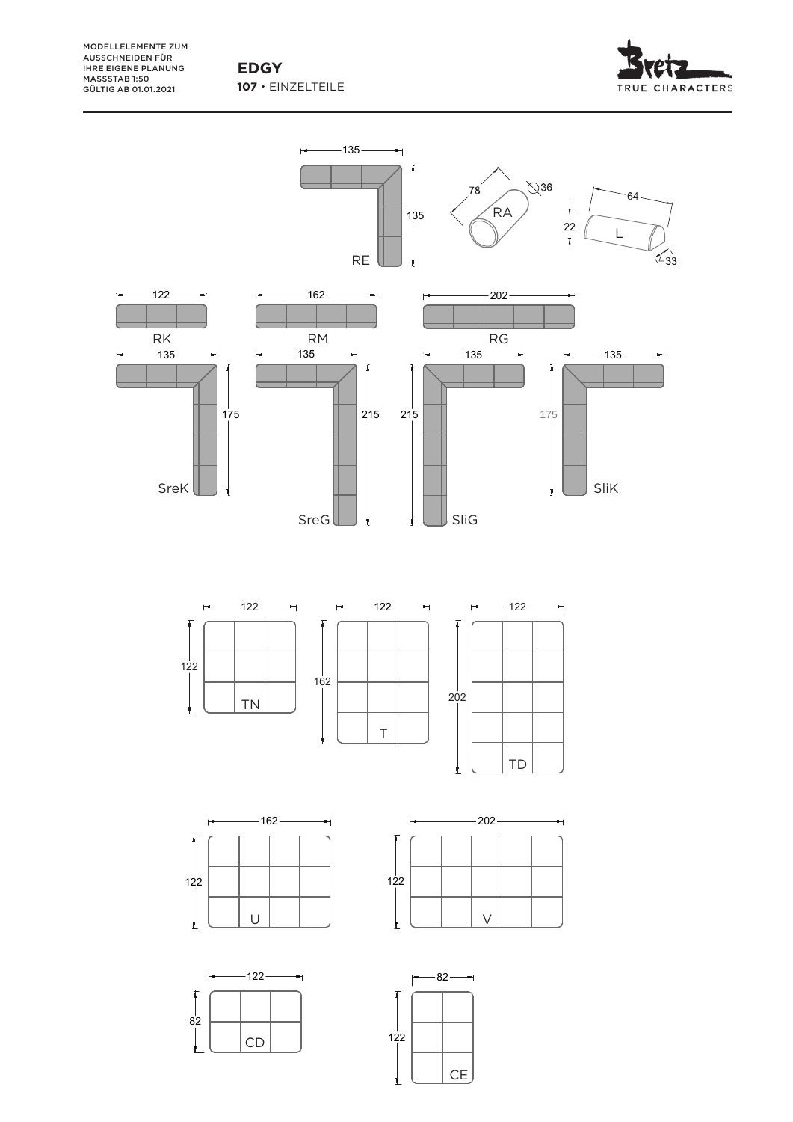**107**  EINZELTEILE

MODELLELEMENTE ZUM AUSSCHNEIDEN FÜR IHRE EIGENE PLANUNG MASSSTAB 1:50 GÜLTIG AB 01.01.2021



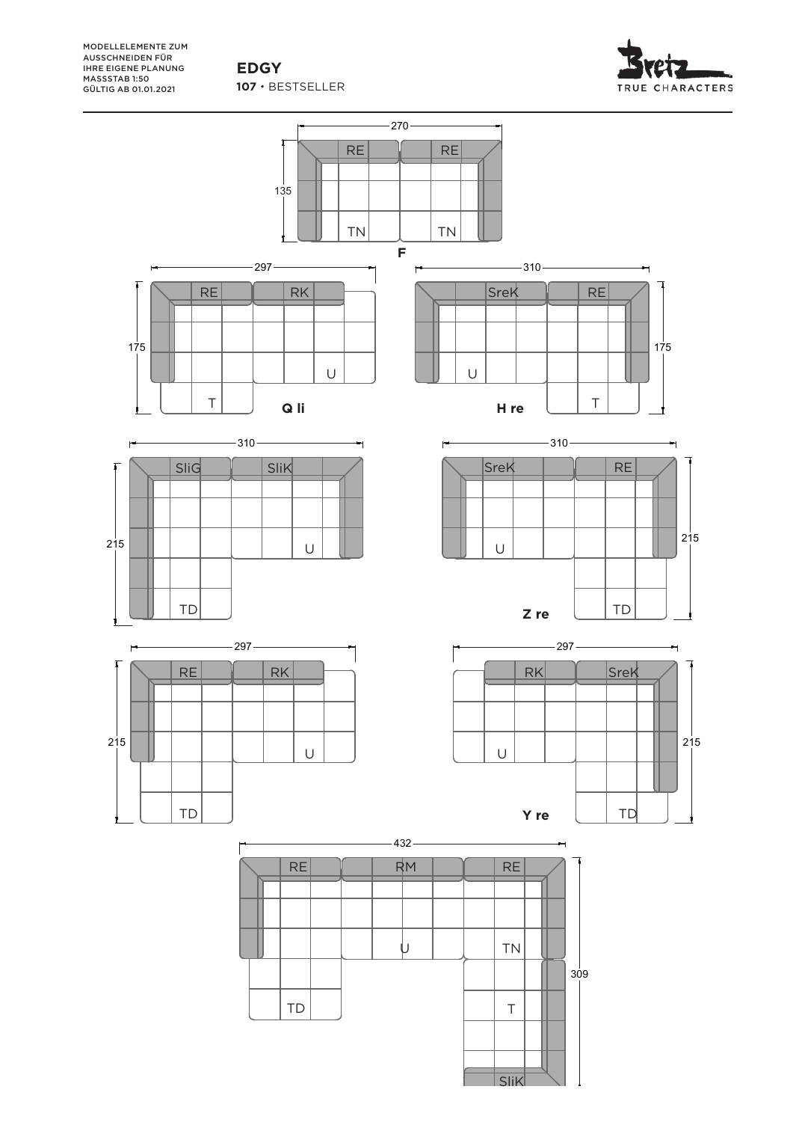107 · BESTSELLER **EDGY**



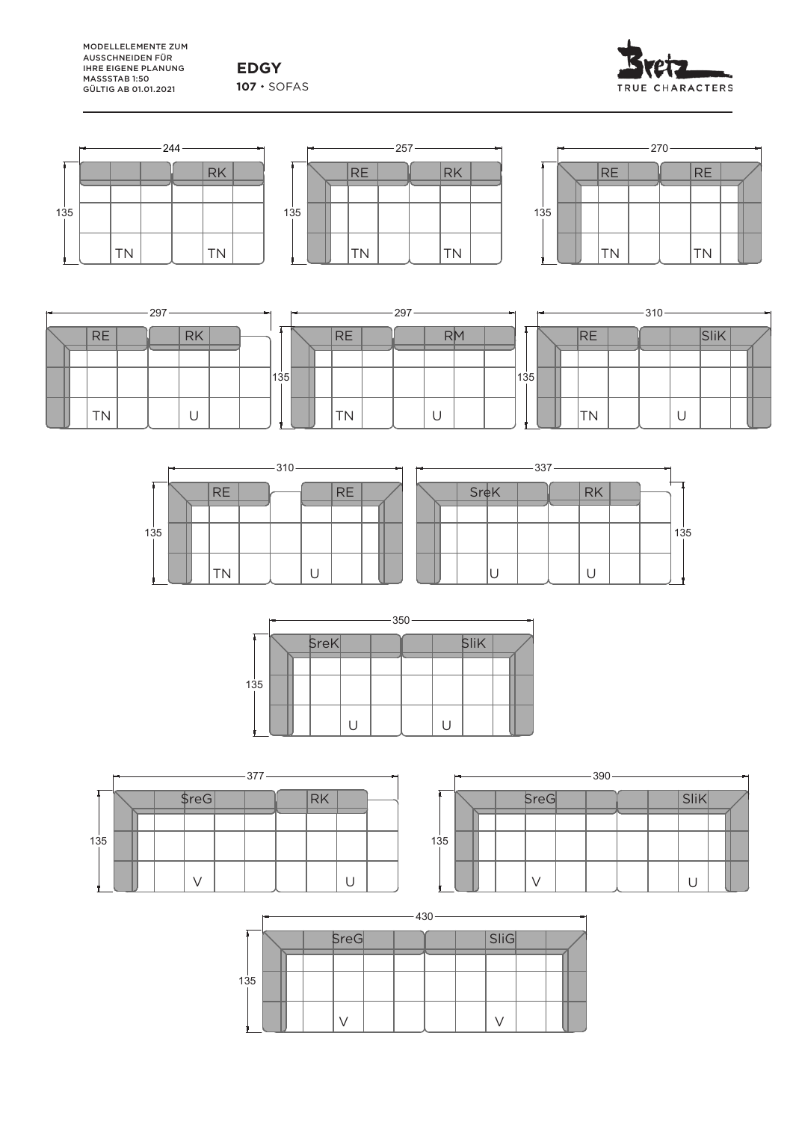**EDGY** 107 · SOFAS









| $-297-$ |  |           |  |  |           | $-297$ |                 |  |  |                          |  |  |    |  |      |  | $-310 -$ |           |  |  |   |               |  |  |
|---------|--|-----------|--|--|-----------|--------|-----------------|--|--|--------------------------|--|--|----|--|------|--|----------|-----------|--|--|---|---------------|--|--|
|         |  | <b>RE</b> |  |  | <b>RK</b> |        |                 |  |  | <b>RE</b>                |  |  | RM |  |      |  |          | <b>RE</b> |  |  |   | C11L <br>וווט |  |  |
|         |  |           |  |  |           |        |                 |  |  |                          |  |  |    |  |      |  |          |           |  |  |   |               |  |  |
|         |  |           |  |  |           |        | $^{\prime}$ 135 |  |  |                          |  |  |    |  | 1135 |  |          |           |  |  |   |               |  |  |
|         |  |           |  |  |           |        |                 |  |  | $\overline{\phantom{a}}$ |  |  |    |  |      |  |          |           |  |  |   |               |  |  |
|         |  | <b>TN</b> |  |  | U         |        |                 |  |  | N                        |  |  | ◡  |  |      |  |          | <b>TN</b> |  |  | ◡ |               |  |  |







|     | $-390 -$ |  |      |  |  |  |  |                   |  |  |  |  |  |  |
|-----|----------|--|------|--|--|--|--|-------------------|--|--|--|--|--|--|
|     |          |  | SreG |  |  |  |  | $ \textsf{SiiK} $ |  |  |  |  |  |  |
|     |          |  |      |  |  |  |  |                   |  |  |  |  |  |  |
| 135 |          |  |      |  |  |  |  |                   |  |  |  |  |  |  |
|     |          |  |      |  |  |  |  |                   |  |  |  |  |  |  |

|     | $-430$ |  |  |      |  |  |  |  |      |  |  |  |  |  |
|-----|--------|--|--|------|--|--|--|--|------|--|--|--|--|--|
|     |        |  |  | SreG |  |  |  |  | SliG |  |  |  |  |  |
| 135 |        |  |  |      |  |  |  |  |      |  |  |  |  |  |
|     |        |  |  |      |  |  |  |  |      |  |  |  |  |  |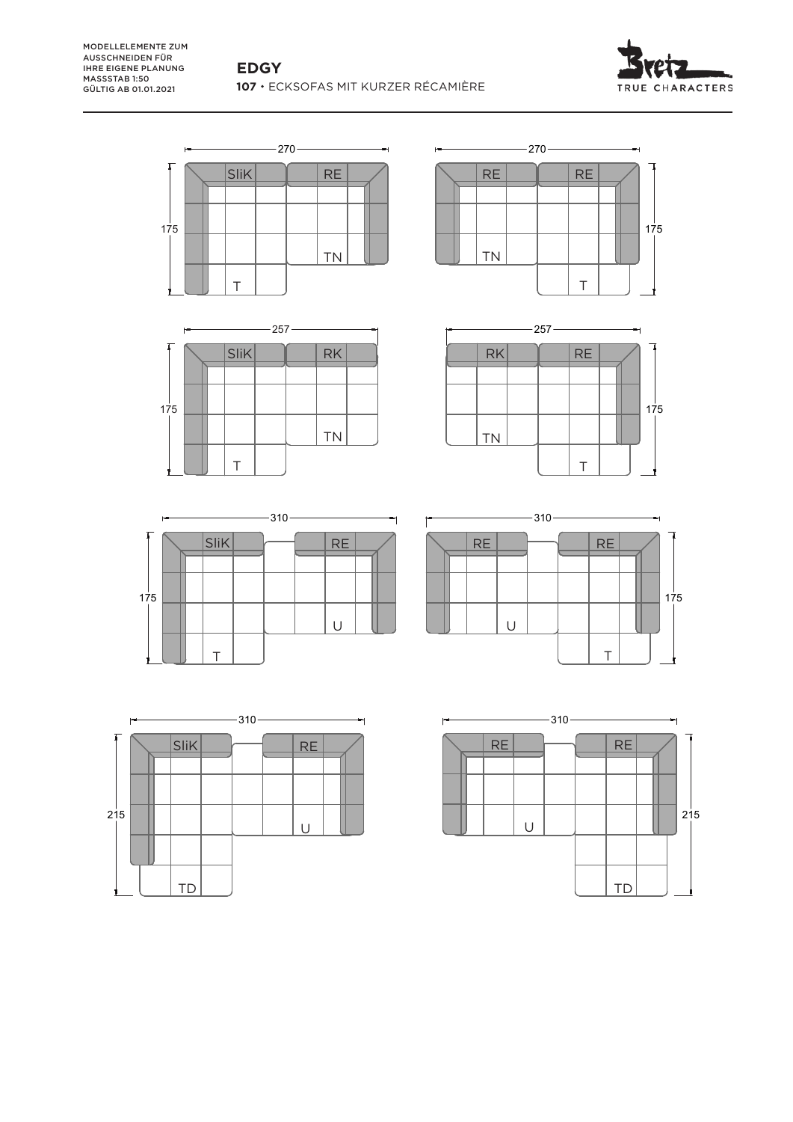



257 270











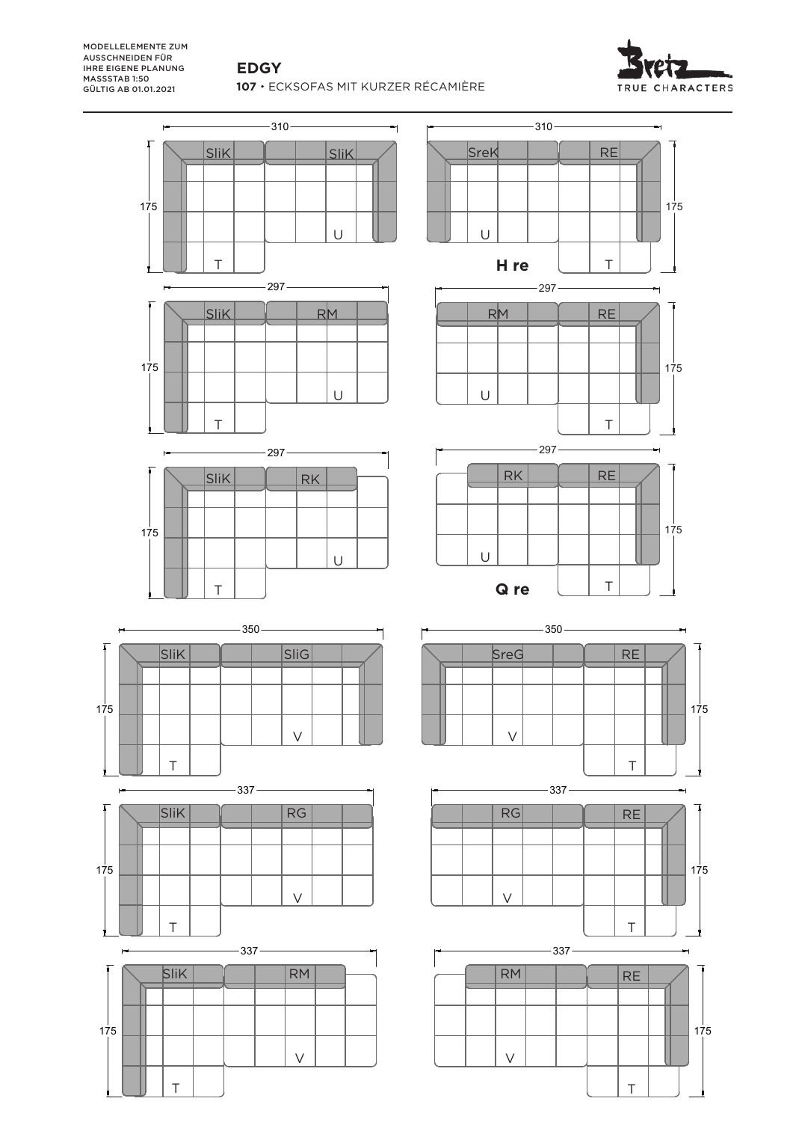## **EDGY**

**107**  ECKSOFAS MIT KURZER RÉCAMIÈRE



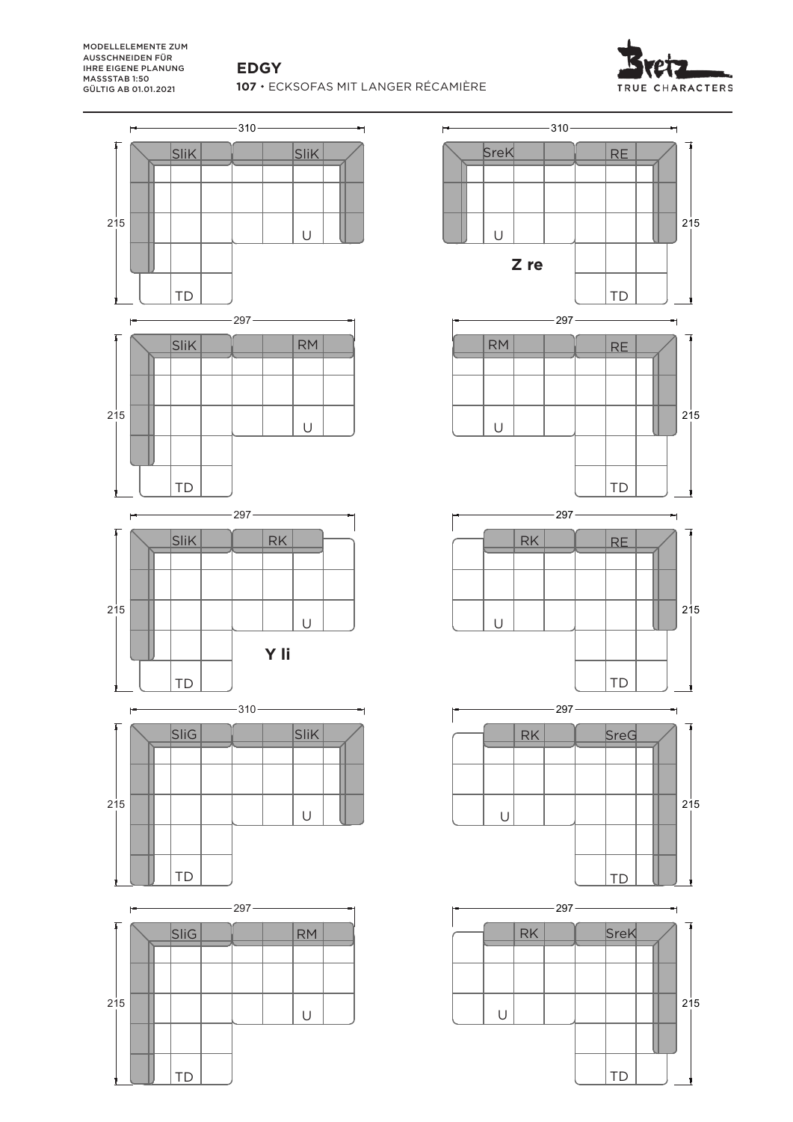# **EDGY**

310 ECKSOFAS MIT LANGER RÉCAMIÈRE

![](_page_5_Picture_3.jpeg)

![](_page_5_Figure_4.jpeg)

![](_page_5_Figure_5.jpeg)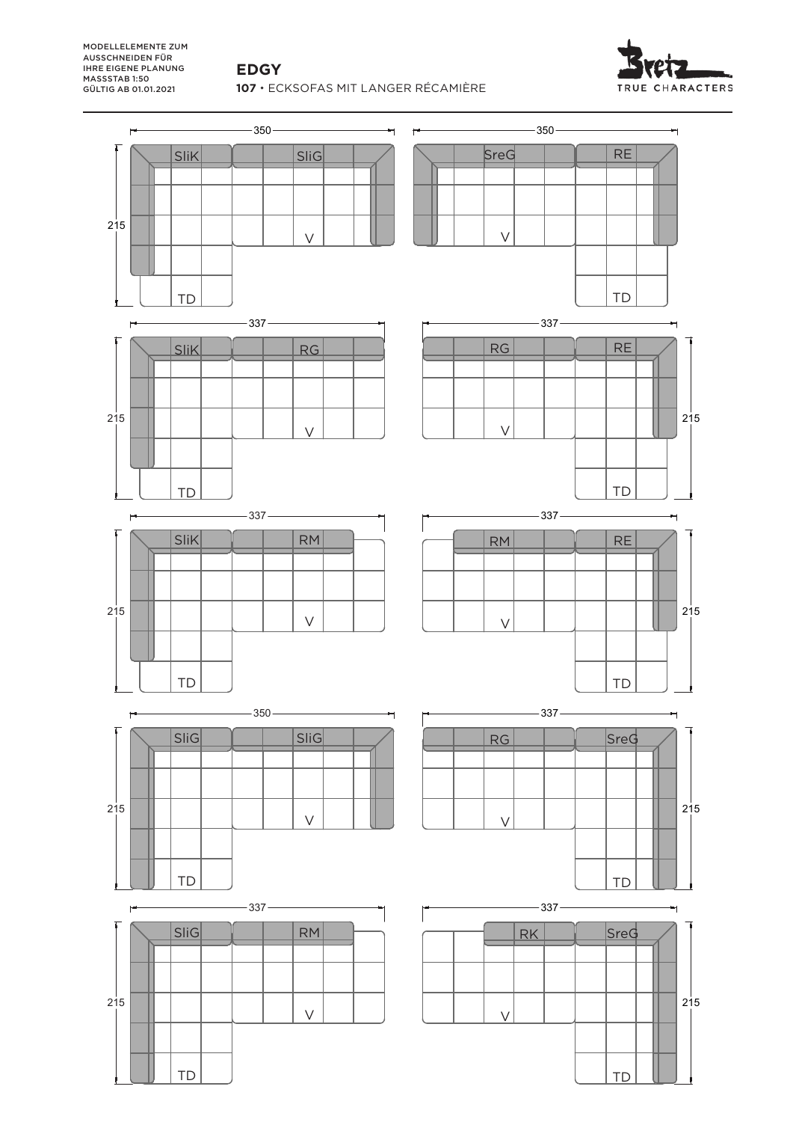#### **EDGY**

350 ECKSOFAS MIT LANGER RÉCAMIÈRE

![](_page_6_Picture_3.jpeg)

![](_page_6_Figure_4.jpeg)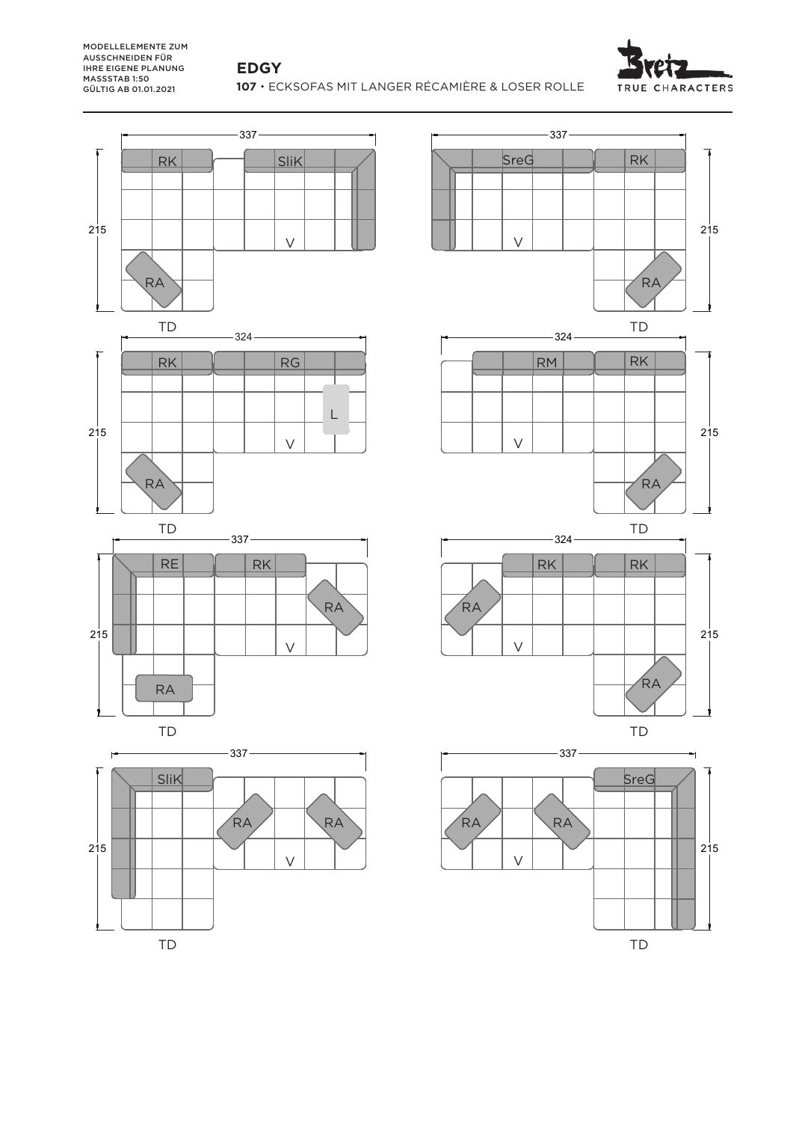## **EDGY**

**107**  ECKSOFAS MIT LANGER RÉCAMIÈRE & LOSER ROLLE

![](_page_7_Picture_3.jpeg)

![](_page_7_Figure_4.jpeg)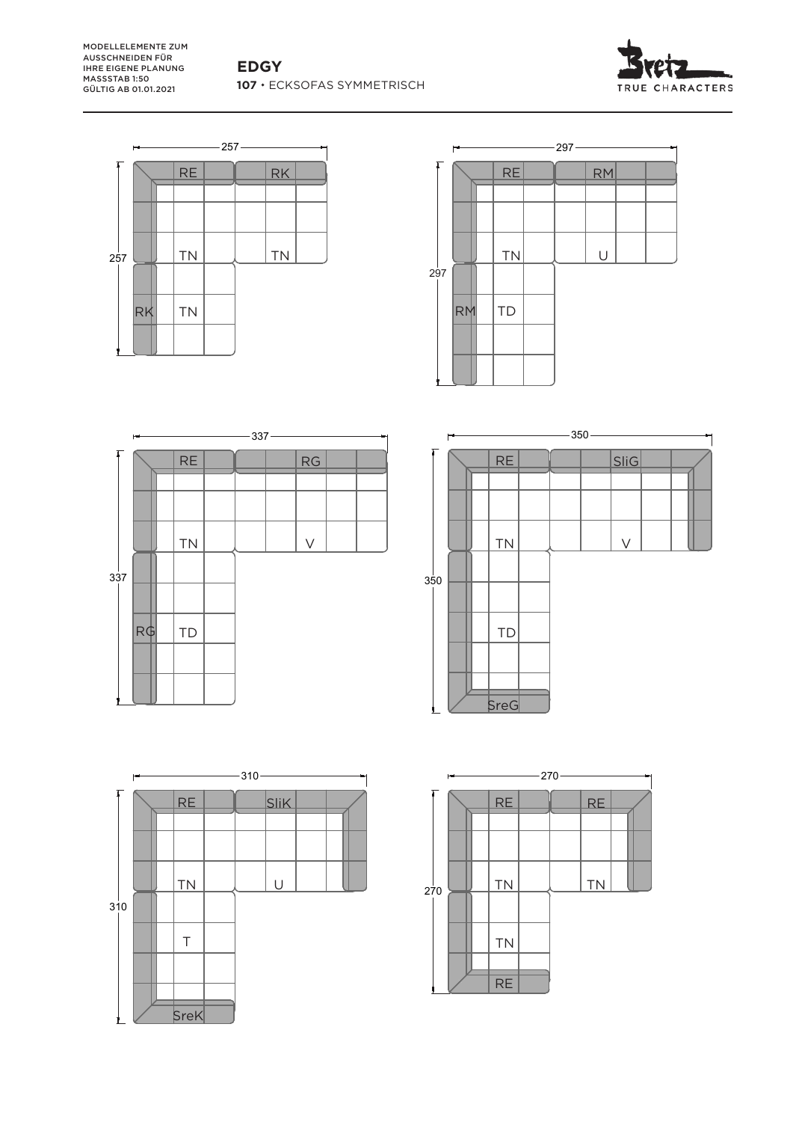![](_page_8_Picture_2.jpeg)

![](_page_8_Figure_3.jpeg)

![](_page_8_Figure_4.jpeg)

![](_page_8_Figure_5.jpeg)

![](_page_8_Figure_6.jpeg)

![](_page_8_Figure_7.jpeg)

![](_page_8_Figure_8.jpeg)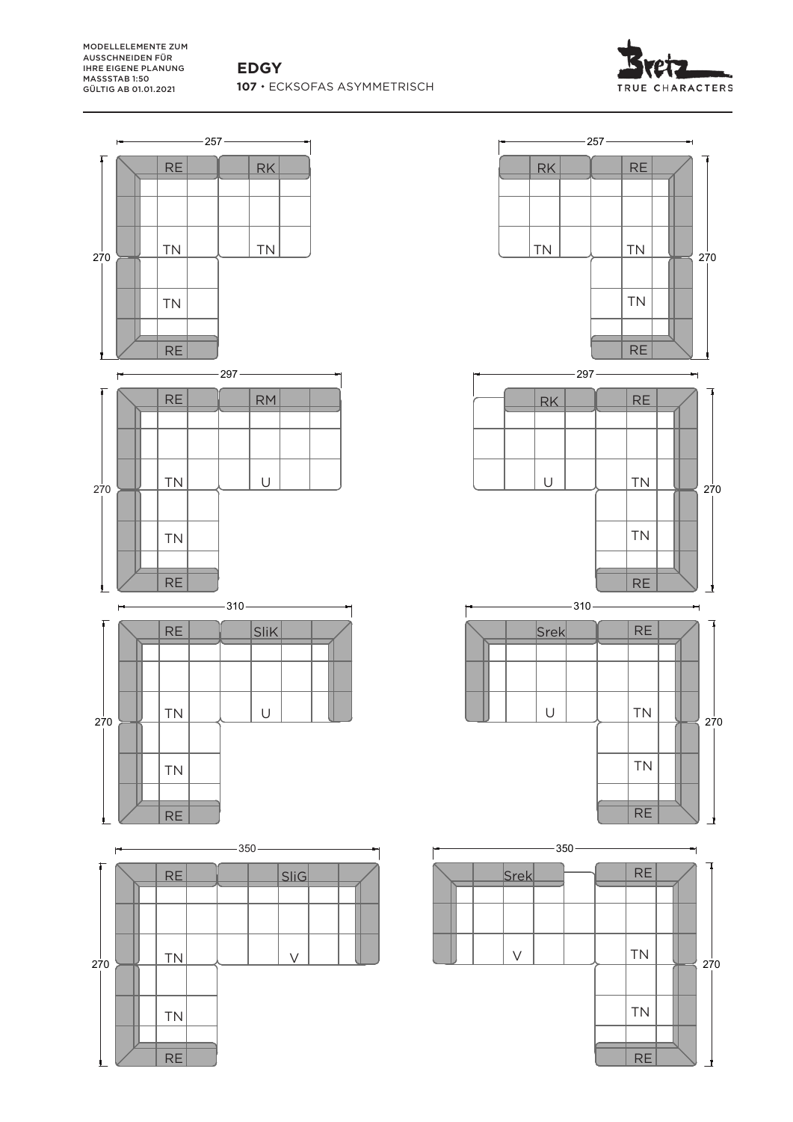![](_page_9_Picture_2.jpeg)

![](_page_9_Figure_3.jpeg)

![](_page_9_Figure_4.jpeg)

TN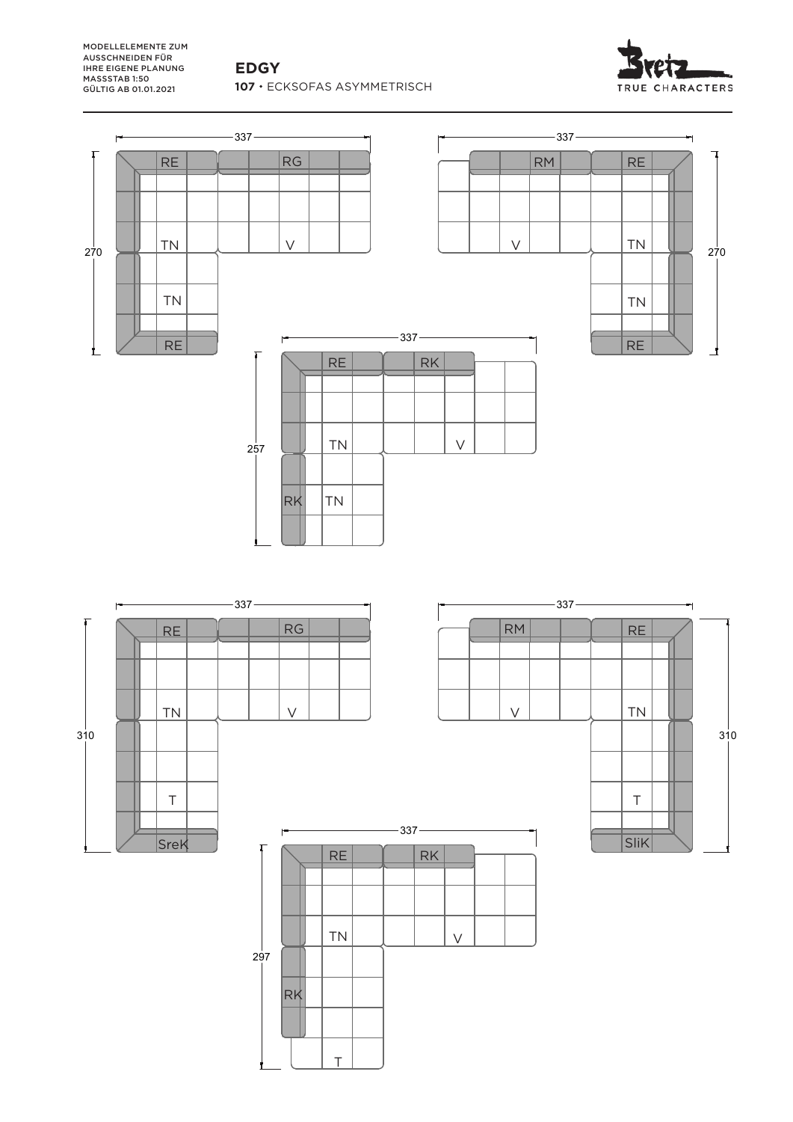**EDGY** 107 · ECKSOFAS ASYMMETRISCH

![](_page_10_Picture_2.jpeg)

![](_page_10_Figure_3.jpeg)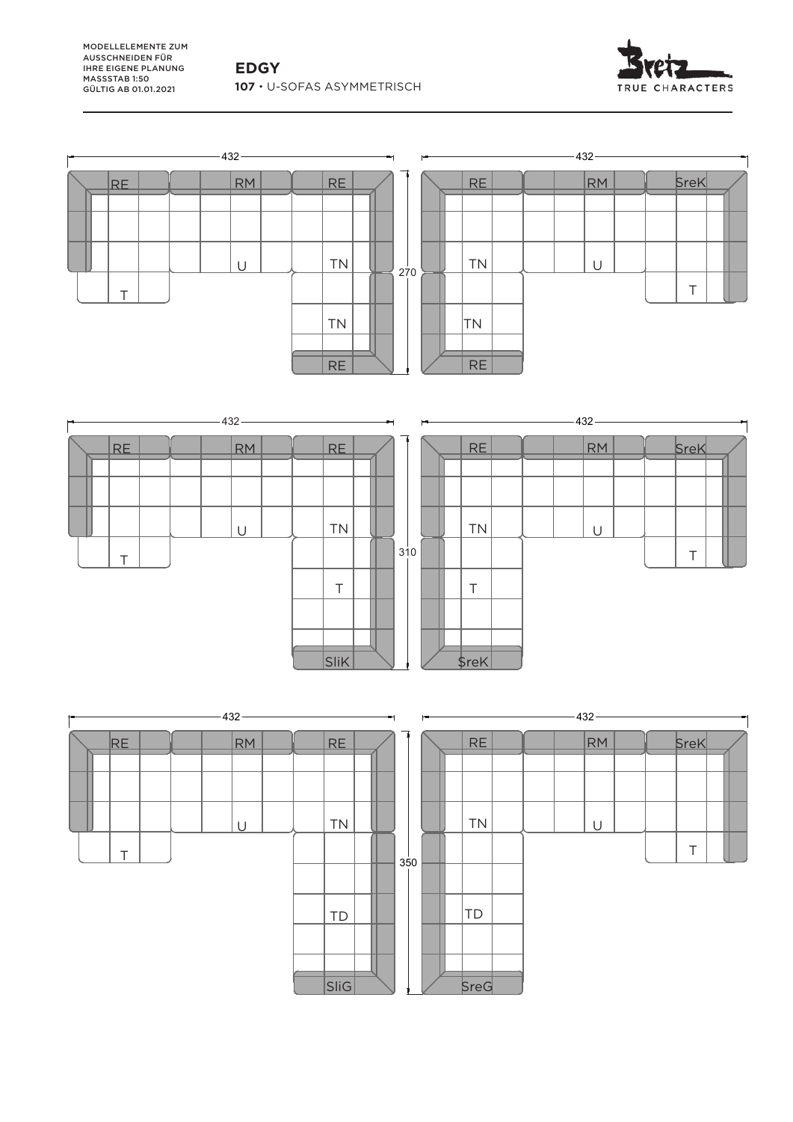**EDGY 107**  U-SOFAS ASYMMETRISCH

![](_page_11_Picture_2.jpeg)

![](_page_11_Figure_3.jpeg)

![](_page_11_Figure_4.jpeg)

TD

SreG

![](_page_11_Figure_5.jpeg)

SliG

![](_page_11_Figure_6.jpeg)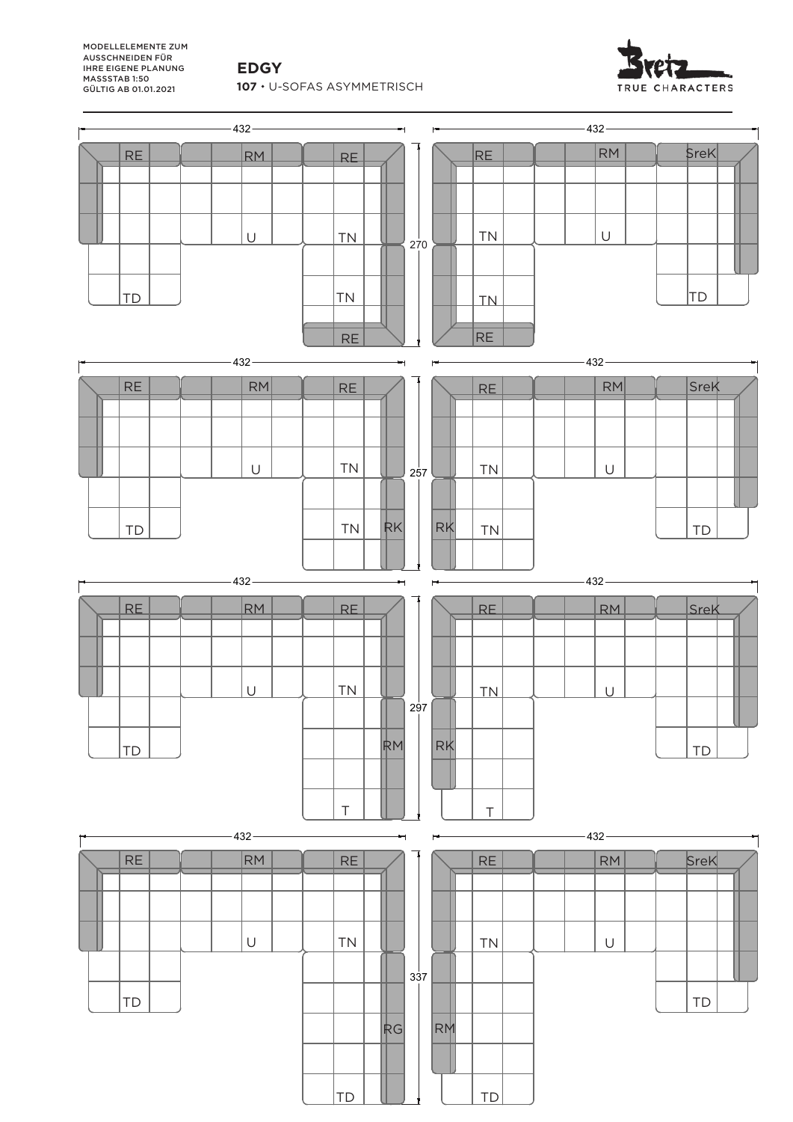**EDGY**

MODELLELEMENTE ZUM AUSSCHNEIDEN FÜR **IHRE EIGENE PLANUNG** MASSSTAB 1:50 GÜLTIG AB 01.01.2021

107 · U-SOFAS ASYMMETRISCH

![](_page_12_Picture_3.jpeg)

![](_page_12_Figure_4.jpeg)